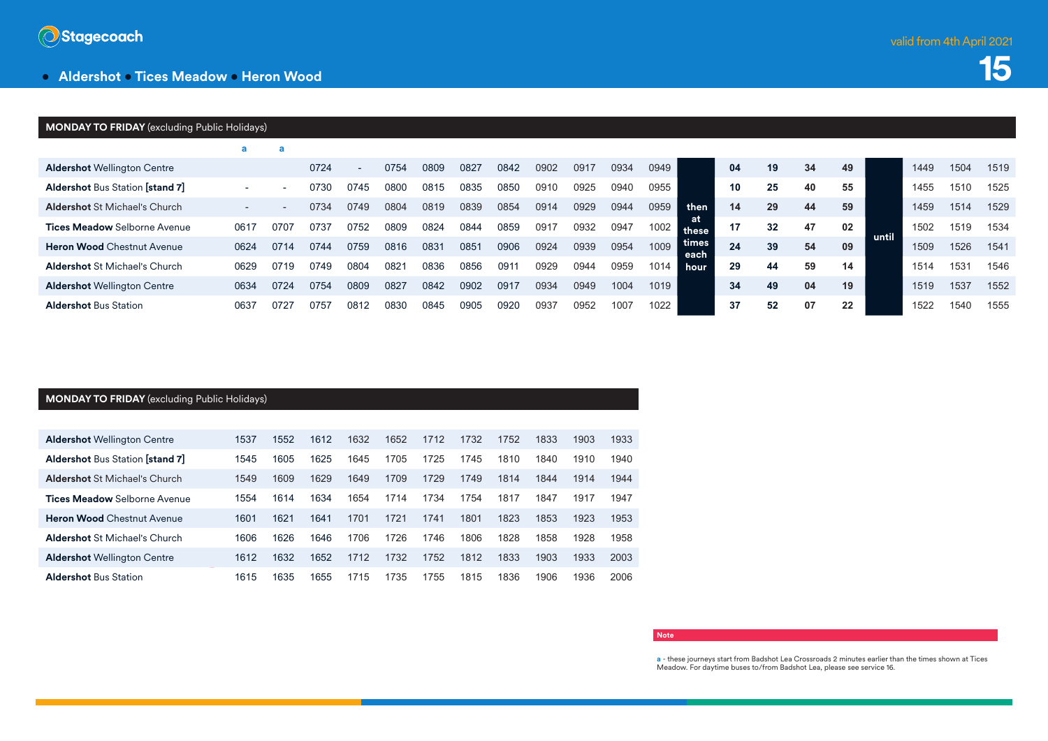

### **• Aldershot • Tices Meadow • Heron Wood**

## **15**

#### **MONDAY TO FRIDAY** (excluding Public Holidays) **a a Aldershot** Wellington Centre 0724 - 0754 0809 0827 0842 0902 0917 0934 0949  **then at these times each hour 04 19 34 49 until** 1449 1504 1519 **Aldershot** Bus Station **[stand 7]** - - 0730 0745 0800 0815 0835 0850 0910 0925 0940 0955 **10 25 40 55** 1455 1510 1525 **Aldershot** St Michael's Church - - 0734 0749 0804 0819 0839 0854 0914 0929 0944 0959 **14 29 44 59** 1459 1514 1529 **Tices Meadow** Selborne Avenue 0617 0707 0737 0752 0809 0824 0844 0859 0917 0932 0947 1002 **17 32 47 02** 1502 1519 1534 **Heron Wood** Chestnut Avenue 0624 0714 0744 0759 0816 0831 0851 0906 0924 0939 0954 1009 **24 39 54 09** 1509 1526 1541 **Aldershot** St Michael's Church 0629 0719 0749 0804 0821 0836 0856 0911 0929 0944 0959 1014 **29 44 59 14** 1514 1531 1546 **Aldershot** Wellington Centre 0634 0724 0754 0809 0827 0842 0902 0917 0934 0949 1004 1019 **34 49 04 19** 1519 1537 1552 **Aldershot** Bus Station 0637 0727 0757 0812 0830 0845 0905 0920 0937 0952 1007 1022 **37 52 07 22** 1522 1540 1555

#### **MONDAY TO FRIDAY** (excluding Public Holidays)

| <b>Aldershot Wellington Centre</b>     | 1537 | 1552 | 1612 | 1632 | 1652 | 1712 | 1732 | 1752 | 1833 | 1903 | 1933 |
|----------------------------------------|------|------|------|------|------|------|------|------|------|------|------|
| <b>Aldershot Bus Station [stand 7]</b> | 1545 | 1605 | 1625 | 1645 | 1705 | 1725 | 1745 | 1810 | 1840 | 1910 | 1940 |
| <b>Aldershot St Michael's Church</b>   | 1549 | 1609 | 1629 | 1649 | 1709 | 1729 | 1749 | 1814 | 1844 | 1914 | 1944 |
| <b>Tices Meadow</b> Selborne Avenue    | 1554 | 1614 | 1634 | 1654 | 1714 | 1734 | 1754 | 1817 | 1847 | 1917 | 1947 |
| <b>Heron Wood Chestnut Avenue</b>      | 1601 | 1621 | 1641 | 1701 | 1721 | 1741 | 1801 | 1823 | 1853 | 1923 | 1953 |
| <b>Aldershot St Michael's Church</b>   | 1606 | 1626 | 1646 | 1706 | 1726 | 1746 | 1806 | 1828 | 1858 | 1928 | 1958 |
| <b>Aldershot Wellington Centre</b>     | 1612 | 1632 | 1652 | 1712 | 1732 | 1752 | 1812 | 1833 | 1903 | 1933 | 2003 |
| <b>Aldershot Bus Station</b>           | 1615 | 1635 | 1655 | 1715 | 1735 | 1755 | 1815 | 1836 | 1906 | 1936 | 2006 |

#### **Note**

**a** - these journeys start from Badshot Lea Crossroads 2 minutes earlier than the times shown at Tices Meadow. For daytime buses to/from Badshot Lea, please see service 16.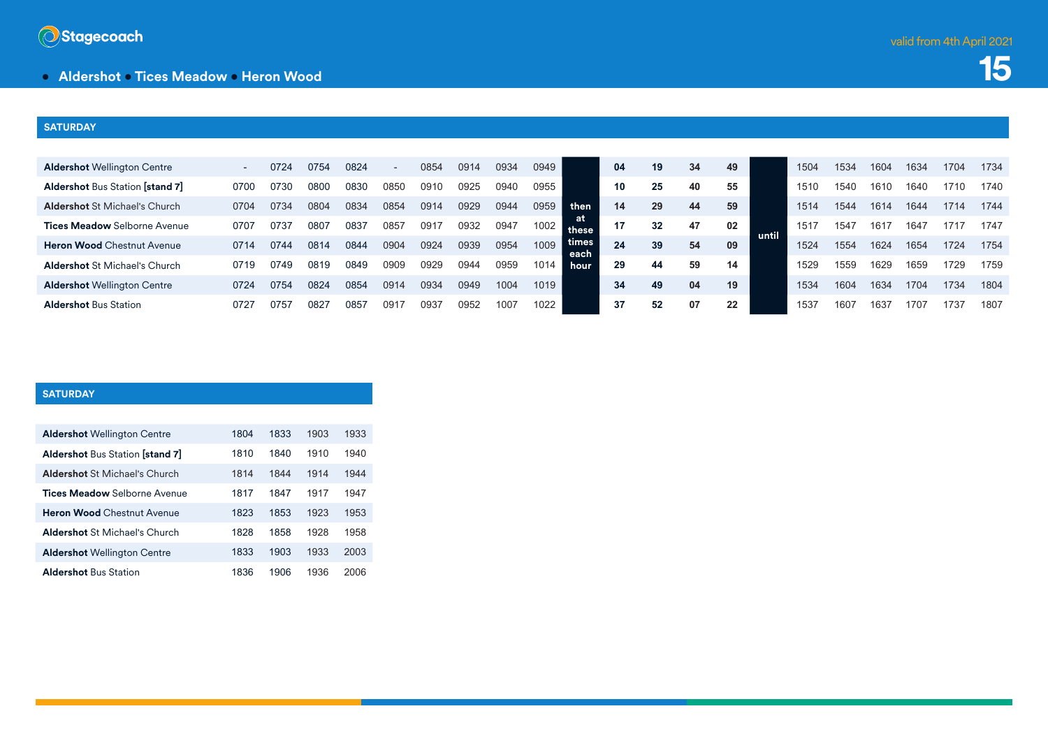

**15**

## **• Aldershot • Tices Meadow • Heron Wood**

#### **SATURDAY**

| <b>Aldershot Wellington Centre</b>     |      | 0724 | 0754 | 0824 | $\overline{\phantom{0}}$ | 0854 | 0914 | 0934 | 0949 |               | 04  | 19 | 34 | 49 |       | 1504 | 1534 | 1604 | 1634 | 1704 | 1734 |
|----------------------------------------|------|------|------|------|--------------------------|------|------|------|------|---------------|-----|----|----|----|-------|------|------|------|------|------|------|
| <b>Aldershot Bus Station [stand 7]</b> | 0700 | 0730 | 0800 | 0830 | 0850                     | 0910 | 0925 | 0940 | 0955 |               | 10  | 25 | 40 | 55 |       | 1510 | 1540 | 1610 | 1640 | 1710 | 1740 |
| <b>Aldershot St Michael's Church</b>   | 0704 | 0734 | 0804 | 0834 | 0854                     | 0914 | 0929 | 0944 | 0959 | then          | 14  | 29 | 44 | 59 |       | 1514 | 1544 | 1614 | 1644 | 1714 | 1744 |
| <b>Tices Meadow</b> Selborne Avenue    | 0707 | 0737 | 0807 | 0837 | 0857                     | 091  | 0932 | 0947 | 1002 | these         | -17 | 32 | 47 | 02 |       | 1517 | 154  | 161  | 1647 | 1717 | 1747 |
| <b>Heron Wood Chestnut Avenue</b>      | 0714 | 0744 | 0814 | 0844 | 0904                     | 0924 | 0939 | 0954 | 1009 | times<br>each | 24  | 39 | 54 | 09 | until | 1524 | 1554 | 1624 | 1654 | 1724 | 1754 |
| <b>Aldershot St Michael's Church</b>   | 0719 | 0749 | 0819 | 0849 | 0909                     | 0929 | 0944 | 0959 | 1014 | <b>hour</b>   | 29  | 44 | 59 | 14 |       | 1529 | 1559 | 1629 | 1659 | 1729 | 1759 |
| <b>Aldershot Wellington Centre</b>     | 0724 | 0754 | 0824 | 0854 | 0914                     | 0934 | 0949 | 1004 | 1019 |               | 34  | 49 | 04 | 19 |       | 1534 | 1604 | 1634 | 1704 | 1734 | 1804 |
| <b>Aldershot Bus Station</b>           | 072  | 0757 | 082  | 0857 | 091                      | 0937 | 0952 | 1007 | 1022 |               |     | 52 | 07 | 22 |       | 1537 | 1601 | 163. | 1707 | 1737 | 1807 |

#### **SATURDAY**

| <b>Aldershot Wellington Centre</b>     | 1804 | 1833 | 1903 | 1933 |
|----------------------------------------|------|------|------|------|
| <b>Aldershot Bus Station [stand 7]</b> | 1810 | 1840 | 1910 | 1940 |
| <b>Aldershot St Michael's Church</b>   | 1814 | 1844 | 1914 | 1944 |
| <b>Tices Meadow</b> Selborne Avenue    | 1817 | 1847 | 1917 | 1947 |
| <b>Heron Wood Chestnut Avenue</b>      | 1823 | 1853 | 1923 | 1953 |
| <b>Aldershot St Michael's Church</b>   | 1828 | 1858 | 1928 | 1958 |
| <b>Aldershot Wellington Centre</b>     | 1833 | 1903 | 1933 | 2003 |
| <b>Aldershot Bus Station</b>           | 1836 | 1906 | 1936 | 2006 |